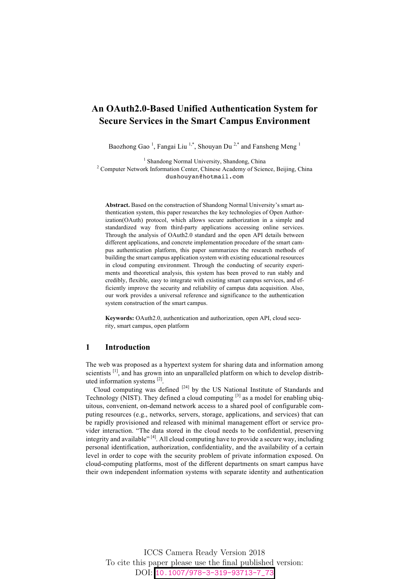# **An OAuth2.0-Based Unified Authentication System for Secure Services in the Smart Campus Environment**

Baozhong Gao<sup>1</sup>, Fangai Liu<sup>1,\*</sup>, Shouyan Du<sup>2,\*</sup> and Fansheng Meng<sup>1</sup>

<sup>1</sup> Shandong Normal University, Shandong, China <sup>2</sup> Computer Network Information Center, Chinese Academy of Science, Beijing, China dushouyan@hotmail.com

**Abstract.** Based on the construction of Shandong Normal University's smart authentication system, this paper researches the key technologies of Open Authorization(OAuth) protocol, which allows secure authorization in a simple and standardized way from third-party applications accessing online services. Through the analysis of OAuth2.0 standard and the open API details between different applications, and concrete implementation procedure of the smart campus authentication platform, this paper summarizes the research methods of building the smart campus application system with existing educational resources in cloud computing environment. Through the conducting of security experiments and theoretical analysis, this system has been proved to run stably and credibly, flexible, easy to integrate with existing smart campus services, and efficiently improve the security and reliability of campus data acquisition. Also, our work provides a universal reference and significance to the authentication system construction of the smart campus.

**Keywords:** OAuth2.0, authentication and authorization, open API, cloud security, smart campus, open platform

## **1 Introduction**

The web was proposed as a hypertext system for sharing data and information among scientists <sup>[1]</sup>, and has grown into an unparalleled platform on which to develop distributed information systems [2].

Cloud computing was defined  $[24]$  by the US National Institute of Standards and Technology (NIST). They defined a cloud computing  $[3]$  as a model for enabling ubiquitous, convenient, on-demand network access to a shared pool of configurable computing resources (e.g., networks, servers, storage, applications, and services) that can be rapidly provisioned and released with minimal management effort or service provider interaction. "The data stored in the cloud needs to be confidential, preserving integrity and available"  $[4]$ . All cloud computing have to provide a secure way, including personal identification, authorization, confidentiality, and the availability of a certain level in order to cope with the security problem of private information exposed. On cloud-computing platforms, most of the different departments on smart campus have their own independent information systems with separate identity and authentication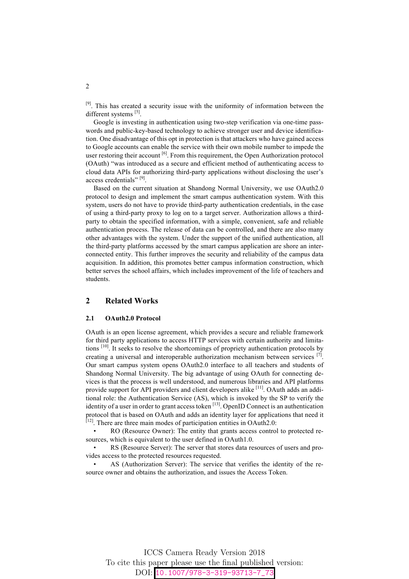<sup>[9]</sup>. This has created a security issue with the uniformity of information between the different systems [5].

Google is investing in authentication using two-step verification via one-time passwords and public-key-based technology to achieve stronger user and device identification. One disadvantage of this opt in protection is that attackers who have gained access to Google accounts can enable the service with their own mobile number to impede the user restoring their account <sup>[6]</sup>. From this requirement, the Open Authorization protocol (OAuth) "was introduced as a secure and efficient method of authenticating access to cloud data APIs for authorizing third-party applications without disclosing the user's access credentials" [9].

Based on the current situation at Shandong Normal University, we use OAuth2.0 protocol to design and implement the smart campus authentication system. With this system, users do not have to provide third-party authentication credentials, in the case of using a third-party proxy to log on to a target server. Authorization allows a thirdparty to obtain the specified information, with a simple, convenient, safe and reliable authentication process. The release of data can be controlled, and there are also many other advantages with the system. Under the support of the unified authentication, all the third-party platforms accessed by the smart campus application are shore an interconnected entity. This further improves the security and reliability of the campus data acquisition. In addition, this promotes better campus information construction, which better serves the school affairs, which includes improvement of the life of teachers and students.

## **2 Related Works**

#### **2.1 OAuth2.0 Protocol**

OAuth is an open license agreement, which provides a secure and reliable framework for third party applications to access HTTP services with certain authority and limitations <sup>[10]</sup>. It seeks to resolve the shortcomings of propriety authentication protocols by creating a universal and interoperable authorization mechanism between services [7]. Our smart campus system opens OAuth2.0 interface to all teachers and students of Shandong Normal University. The big advantage of using OAuth for connecting devices is that the process is well understood, and numerous libraries and API platforms provide support for API providers and client developers alike <sup>[11]</sup>. OAuth adds an additional role: the Authentication Service (AS), which is invoked by the SP to verify the identity of a user in order to grant access token  $[13]$ . OpenID Connect is an authentication protocol that is based on OAuth and adds an identity layer for applications that need it  $[12]$ . There are three main modes of participation entities in OAuth2.0:

RO (Resource Owner): The entity that grants access control to protected resources, which is equivalent to the user defined in OAuth1.0.

RS (Resource Server): The server that stores data resources of users and provides access to the protected resources requested.

• AS (Authorization Server): The service that verifies the identity of the resource owner and obtains the authorization, and issues the Access Token.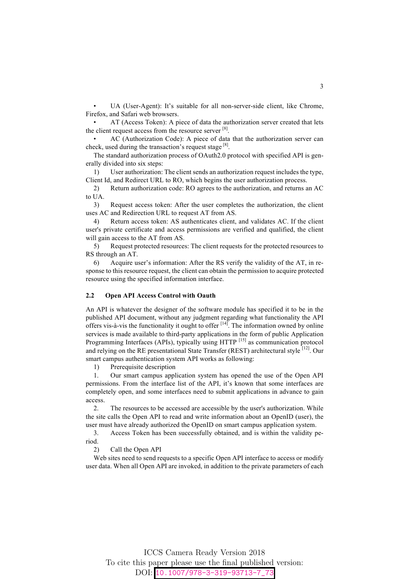UA (User-Agent): It's suitable for all non-server-side client, like Chrome, Firefox, and Safari web browsers.

AT (Access Token): A piece of data the authorization server created that lets the client request access from the resource server  $[8]$ .

• AC (Authorization Code): A piece of data that the authorization server can check, used during the transaction's request stage  $[8]$ .

The standard authorization process of OAuth2.0 protocol with specified API is generally divided into six steps:

1) User authorization: The client sends an authorization request includes the type, Client Id, and Redirect URL to RO, which begins the user authorization process.

2) Return authorization code: RO agrees to the authorization, and returns an AC to UA.

3) Request access token: After the user completes the authorization, the client uses AC and Redirection URL to request AT from AS.

4) Return access token: AS authenticates client, and validates AC. If the client user's private certificate and access permissions are verified and qualified, the client will gain access to the AT from AS.

5) Request protected resources: The client requests for the protected resources to RS through an AT.

6) Acquire user's information: After the RS verify the validity of the AT, in response to this resource request, the client can obtain the permission to acquire protected resource using the specified information interface.

### **2.2 Open API Access Control with Oauth**

An API is whatever the designer of the software module has specified it to be in the published API document, without any judgment regarding what functionality the API offers vis-à-vis the functionality it ought to offer  $[14]$ . The information owned by online services is made available to third-party applications in the form of public Application Programming Interfaces (APIs), typically using HTTP [15] as communication protocol and relying on the RE presentational State Transfer (REST) architectural style  $^{[12]}$ . Our smart campus authentication system API works as following:

1) Prerequisite description

1. Our smart campus application system has opened the use of the Open API permissions. From the interface list of the API, it's known that some interfaces are completely open, and some interfaces need to submit applications in advance to gain access.

2. The resources to be accessed are accessible by the user's authorization. While the site calls the Open API to read and write information about an OpenID (user), the user must have already authorized the OpenID on smart campus application system.

3. Access Token has been successfully obtained, and is within the validity period.

2) Call the Open API

Web sites need to send requests to a specific Open API interface to access or modify user data. When all Open API are invoked, in addition to the private parameters of each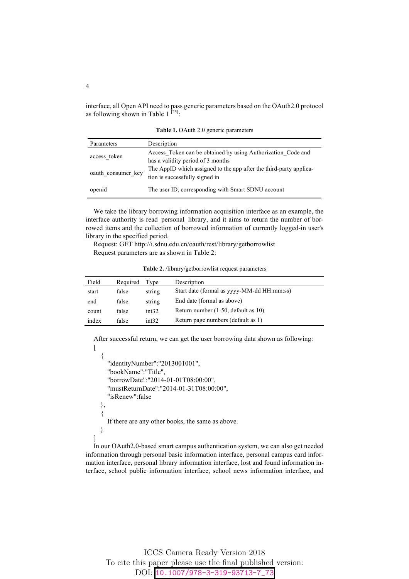interface, all Open API need to pass generic parameters based on the OAuth2.0 protocol as following shown in Table 1<sup>[25]</sup>:

| Parameters         | Description                                                                                          |
|--------------------|------------------------------------------------------------------------------------------------------|
| access token       | Access Token can be obtained by using Authorization Code and<br>has a validity period of 3 months    |
| oauth consumer key | The AppID which assigned to the app after the third-party applica-<br>tion is successfully signed in |
| openid             | The user ID, corresponding with Smart SDNU account                                                   |

**Table 1.** OAuth 2.0 generic parameters

We take the library borrowing information acquisition interface as an example, the interface authority is read personal library, and it aims to return the number of borrowed items and the collection of borrowed information of currently logged-in user's library in the specified period.

Request: GET http://i.sdnu.edu.cn/oauth/rest/library/getborrowlist Request parameters are as shown in Table 2:

|  | Table 2. /library/getborrowlist request parameters |  |
|--|----------------------------------------------------|--|
|--|----------------------------------------------------|--|

| Field | Required | Type   | Description                                |
|-------|----------|--------|--------------------------------------------|
| start | false    | string | Start date (formal as yyyy-MM-dd HH:mm:ss) |
| end   | false    | string | End date (formal as above)                 |
| count | false    | int32  | Return number (1-50, default as 10)        |
| index | false    | int32  | Return page numbers (default as 1)         |
|       |          |        |                                            |

After successful return, we can get the user borrowing data shown as following:

```
\left[ \right] {
      "identityNumber":"2013001001",
      "bookName":"Title",
      "borrowDate":"2014-01-01T08:00:00",
      "mustReturnDate":"2014-01-31T08:00:00",
      "isRenew":false
   },
  \{ If there are any other books, the same as above.
    }
]
```
In our OAuth2.0-based smart campus authentication system, we can also get needed information through personal basic information interface, personal campus card information interface, personal library information interface, lost and found information interface, school public information interface, school news information interface, and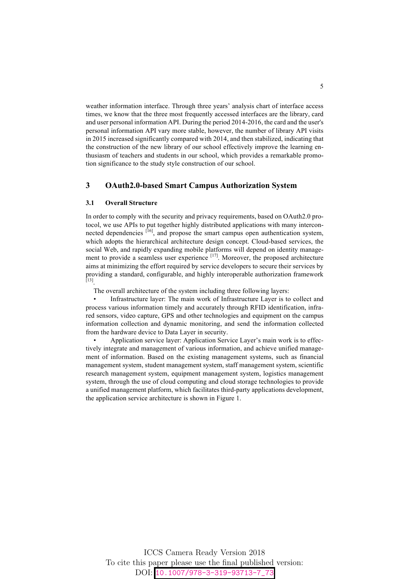weather information interface. Through three years' analysis chart of interface access times, we know that the three most frequently accessed interfaces are the library, card and user personal information API. During the period 2014-2016, the card and the user's personal information API vary more stable, however, the number of library API visits in 2015 increased significantly compared with 2014, and then stabilized, indicating that the construction of the new library of our school effectively improve the learning enthusiasm of teachers and students in our school, which provides a remarkable promotion significance to the study style construction of our school.

## **3 OAuth2.0-based Smart Campus Authorization System**

#### **3.1 Overall Structure**

In order to comply with the security and privacy requirements, based on OAuth2.0 protocol, we use APIs to put together highly distributed applications with many interconnected dependencies  $\left[16\right]$ , and propose the smart campus open authentication system, which adopts the hierarchical architecture design concept. Cloud-based services, the social Web, and rapidly expanding mobile platforms will depend on identity management to provide a seamless user experience [17]. Moreover, the proposed architecture aims at minimizing the effort required by service developers to secure their services by providing a standard, configurable, and highly interoperable authorization framework  $\begin{bmatrix} 13 \end{bmatrix}$ 

The overall architecture of the system including three following layers:

• Infrastructure layer: The main work of Infrastructure Layer is to collect and process various information timely and accurately through RFID identification, infrared sensors, video capture, GPS and other technologies and equipment on the campus information collection and dynamic monitoring, and send the information collected from the hardware device to Data Layer in security.

• Application service layer: Application Service Layer's main work is to effectively integrate and management of various information, and achieve unified management of information. Based on the existing management systems, such as financial management system, student management system, staff management system, scientific research management system, equipment management system, logistics management system, through the use of cloud computing and cloud storage technologies to provide a unified management platform, which facilitates third-party applications development, the application service architecture is shown in Figure 1.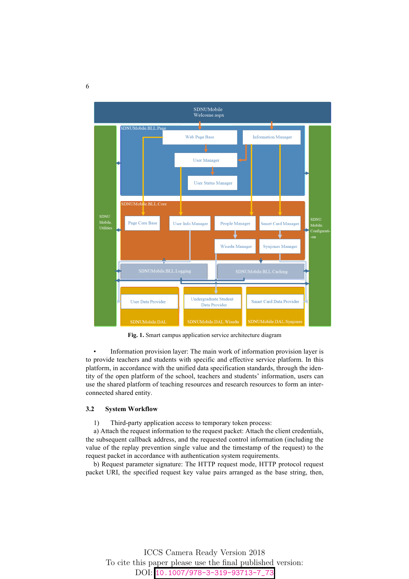

**Fig. 1.** Smart campus application service architecture diagram

• Information provision layer: The main work of information provision layer is to provide teachers and students with specific and effective service platform. In this platform, in accordance with the unified data specification standards, through the identity of the open platform of the school, teachers and students' information, users can use the shared platform of teaching resources and research resources to form an interconnected shared entity.

### **3.2 System Workflow**

1) Third-party application access to temporary token process:

a) Attach the request information to the request packet: Attach the client credentials, the subsequent callback address, and the requested control information (including the value of the replay prevention single value and the timestamp of the request) to the request packet in accordance with authentication system requirements.

b) Request parameter signature: The HTTP request mode, HTTP protocol request packet URI, the specified request key value pairs arranged as the base string, then,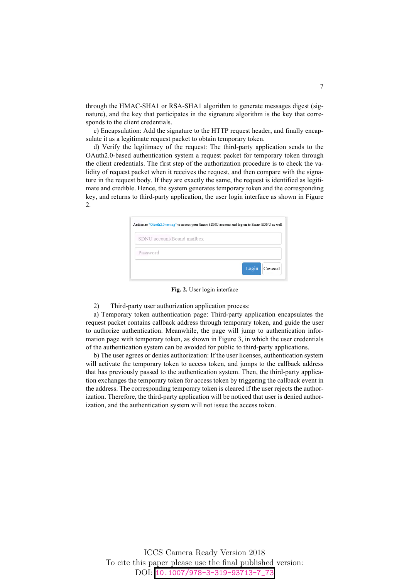through the HMAC-SHA1 or RSA-SHA1 algorithm to generate messages digest (signature), and the key that participates in the signature algorithm is the key that corresponds to the client credentials.

c) Encapsulation: Add the signature to the HTTP request header, and finally encapsulate it as a legitimate request packet to obtain temporary token.

d) Verify the legitimacy of the request: The third-party application sends to the OAuth2.0-based authentication system a request packet for temporary token through the client credentials. The first step of the authorization procedure is to check the validity of request packet when it receives the request, and then compare with the signature in the request body. If they are exactly the same, the request is identified as legitimate and credible. Hence, the system generates temporary token and the corresponding key, and returns to third-party application, the user login interface as shown in Figure 2.

| Password |  |
|----------|--|

**Fig. 2.** User login interface

2) Third-party user authorization application process:

a) Temporary token authentication page: Third-party application encapsulates the request packet contains callback address through temporary token, and guide the user to authorize authentication. Meanwhile, the page will jump to authentication information page with temporary token, as shown in Figure 3, in which the user credentials of the authentication system can be avoided for public to third-party applications.

b) The user agrees or denies authorization: If the user licenses, authentication system will activate the temporary token to access token, and jumps to the callback address that has previously passed to the authentication system. Then, the third-party application exchanges the temporary token for access token by triggering the callback event in the address. The corresponding temporary token is cleared if the user rejects the authorization. Therefore, the third-party application will be noticed that user is denied authorization, and the authentication system will not issue the access token.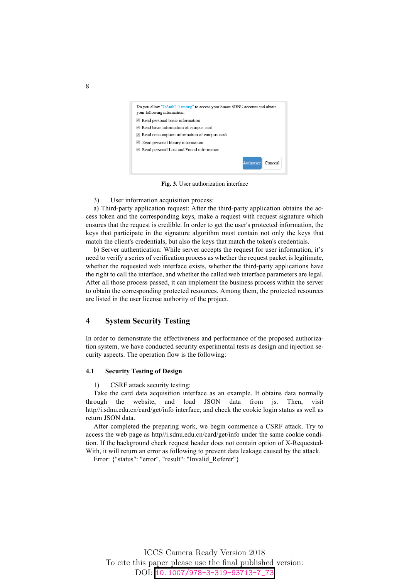

**Fig. 3.** User authorization interface

3) User information acquisition process:

a) Third-party application request: After the third-party application obtains the access token and the corresponding keys, make a request with request signature which ensures that the request is credible. In order to get the user's protected information, the keys that participate in the signature algorithm must contain not only the keys that match the client's credentials, but also the keys that match the token's credentials.

b) Server authentication: While server accepts the request for user information, it's need to verify a series of verification process as whether the request packet is legitimate, whether the requested web interface exists, whether the third-party applications have the right to call the interface, and whether the called web interface parameters are legal. After all those process passed, it can implement the business process within the server to obtain the corresponding protected resources. Among them, the protected resources are listed in the user license authority of the project.

## **4 System Security Testing**

In order to demonstrate the effectiveness and performance of the proposed authorization system, we have conducted security experimental tests as design and injection security aspects. The operation flow is the following:

### **4.1 Security Testing of Design**

1) CSRF attack security testing:

Take the card data acquisition interface as an example. It obtains data normally through the website, and load JSON data from js. Then, visit http//i.sdnu.edu.cn/card/get/info interface, and check the cookie login status as well as return JSON data.

After completed the preparing work, we begin commence a CSRF attack. Try to access the web page as http//i.sdnu.edu.cn/card/get/info under the same cookie condition. If the background check request header does not contain option of X-Requested-With, it will return an error as following to prevent data leakage caused by the attack.

Error: {"status": "error", "result": "Invalid\_Referer"}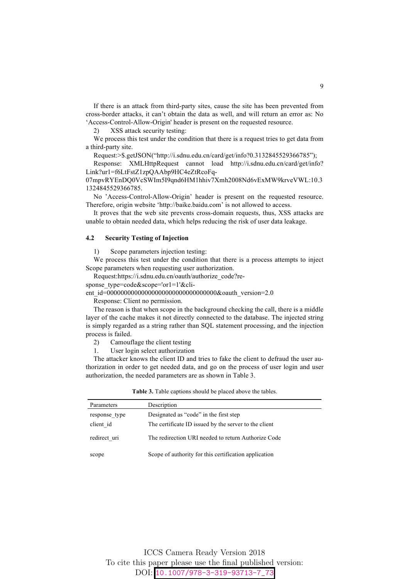If there is an attack from third-party sites, cause the site has been prevented from cross-border attacks, it can't obtain the data as well, and will return an error as: No 'Access-Control-Allow-Origin' header is present on the requested resource.

2) XSS attack security testing:

We process this test under the condition that there is a request tries to get data from a third-party site.

Request:>\$.getJSON("http://i.sdnu.edu.cn/card/get/info?0.3132845529366785");

Response: XMLHttpRequest cannot load http://i.sdnu.edu.cn/card/get/info? Link?ur1=f6LtFstZ1zpQAAbp9HC4eZtRcoFq-

07mpvRYEnDQ0VcSWIm5I9qnd6HM1hhiv7Xmh2008Nd6vExMW9krveVWL:10.3 1324845529366785.

No 'Access-Control-Allow-Origin' header is present on the requested resource. Therefore, origin website 'http://baike.baidu.com' is not allowed to access.

It proves that the web site prevents cross-domain requests, thus, XSS attacks are unable to obtain needed data, which helps reducing the risk of user data leakage.

## **4.2 Security Testing of Injection**

1) Scope parameters injection testing:

We process this test under the condition that there is a process attempts to inject Scope parameters when requesting user authorization.

Request:https://i.sdnu.edu.cn/oauth/authorize\_code?re-

sponse\_type=code&scope='or1=1'&cli-

ent\_id=00000000000000000000000000000000&oauth\_version=2.0

Response: Client no permission.

The reason is that when scope in the background checking the call, there is a middle layer of the cache makes it not directly connected to the database. The injected string is simply regarded as a string rather than SQL statement processing, and the injection process is failed.

2) Camouflage the client testing

1. User login select authorization

The attacker knows the client ID and tries to fake the client to defraud the user authorization in order to get needed data, and go on the process of user login and user authorization, the needed parameters are as shown in Table 3.

| Parameters    | Description                                           |
|---------------|-------------------------------------------------------|
| response type | Designated as "code" in the first step                |
| client id     | The certificate ID issued by the server to the client |
| redirect uri  | The redirection URI needed to return Authorize Code   |
| scope         | Scope of authority for this certification application |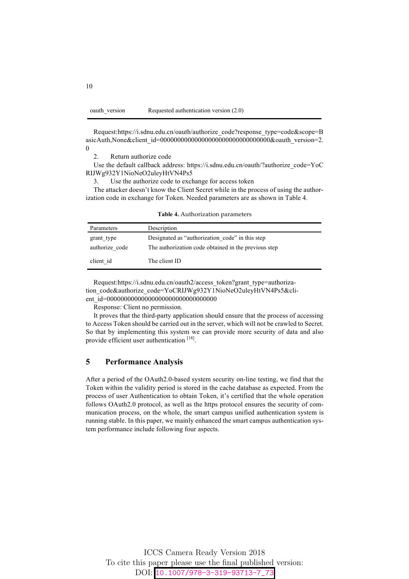Request:https://i.sdnu.edu.cn/oauth/authorize\_code?response\_type=code&scope=B asicAuth,None&client\_id=00000000000000000000000000000000000&oauth\_version=2.  $\theta$ 

2. Return authorize code

Use the default callback address: https://i.sdnu.edu.cn/oauth/?authorize\_code=YoC RIJWg932Y1NioNeO2uleyHtVN4Ps5

3. Use the authorize code to exchange for access token

The attacker doesn't know the Client Secret while in the process of using the authorization code in exchange for Token. Needed parameters are as shown in Table 4.

| Table 4. Authorization parameters |
|-----------------------------------|
|-----------------------------------|

| Parameters     | Description                                          |
|----------------|------------------------------------------------------|
| grant type     | Designated as "authorization code" in this step      |
| authorize code | The authorization code obtained in the previous step |
| client id      | The client ID                                        |

Request:https://i.sdnu.edu.cn/oauth2/access\_token?grant\_type=authorization\_code&authorize\_code=YoCRIJWg932Y1NioNeO2uleyHtVN4Ps5&client\_id=00000000000000000000000000000000

Response: Client no permission.

It proves that the third-party application should ensure that the process of accessing to Access Token should be carried out in the server, which will not be crawled to Secret. So that by implementing this system we can provide more security of data and also provide efficient user authentication [18].

## **5 Performance Analysis**

After a period of the OAuth2.0-based system security on-line testing, we find that the Token within the validity period is stored in the cache database as expected. From the process of user Authentication to obtain Token, it's certified that the whole operation follows OAuth2.0 protocol, as well as the https protocol ensures the security of communication process, on the whole, the smart campus unified authentication system is running stable. In this paper, we mainly enhanced the smart campus authentication system performance include following four aspects.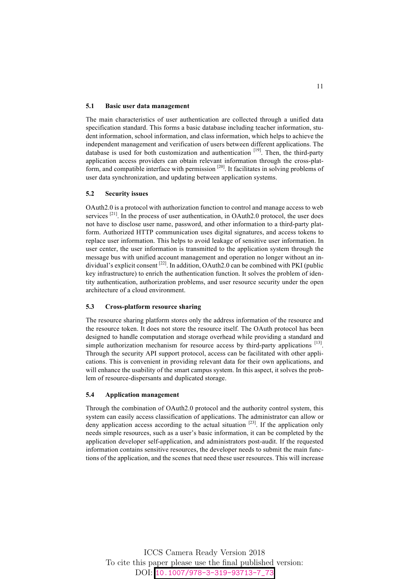#### **5.1 Basic user data management**

The main characteristics of user authentication are collected through a unified data specification standard. This forms a basic database including teacher information, student information, school information, and class information, which helps to achieve the independent management and verification of users between different applications. The database is used for both customization and authentication  $[19]$ . Then, the third-party application access providers can obtain relevant information through the cross-platform, and compatible interface with permission  $[20]$ . It facilitates in solving problems of user data synchronization, and updating between application systems.

## **5.2 Security issues**

OAuth2.0 is a protocol with authorization function to control and manage access to web services <sup>[21]</sup>. In the process of user authentication, in OAuth2.0 protocol, the user does not have to disclose user name, password, and other information to a third-party platform. Authorized HTTP communication uses digital signatures, and access tokens to replace user information. This helps to avoid leakage of sensitive user information. In user center, the user information is transmitted to the application system through the message bus with unified account management and operation no longer without an individual's explicit consent  $[22]$ . In addition, OAuth2.0 can be combined with PKI (public key infrastructure) to enrich the authentication function. It solves the problem of identity authentication, authorization problems, and user resource security under the open architecture of a cloud environment.

### **5.3 Cross-platform resource sharing**

The resource sharing platform stores only the address information of the resource and the resource token. It does not store the resource itself. The OAuth protocol has been designed to handle computation and storage overhead while providing a standard and simple authorization mechanism for resource access by third-party applications  $[13]$ . Through the security API support protocol, access can be facilitated with other applications. This is convenient in providing relevant data for their own applications, and will enhance the usability of the smart campus system. In this aspect, it solves the problem of resource-dispersants and duplicated storage.

#### **5.4 Application management**

Through the combination of OAuth2.0 protocol and the authority control system, this system can easily access classification of applications. The administrator can allow or deny application access according to the actual situation  $[23]$ . If the application only needs simple resources, such as a user's basic information, it can be completed by the application developer self-application, and administrators post-audit. If the requested information contains sensitive resources, the developer needs to submit the main functions of the application, and the scenes that need these user resources. This will increase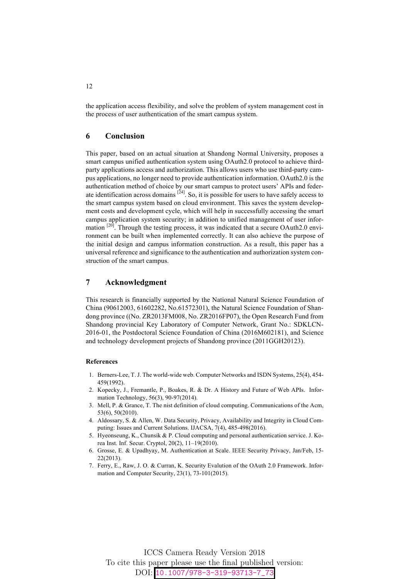the application access flexibility, and solve the problem of system management cost in the process of user authentication of the smart campus system.

## **6 Conclusion**

This paper, based on an actual situation at Shandong Normal University, proposes a smart campus unified authentication system using OAuth2.0 protocol to achieve thirdparty applications access and authorization. This allows users who use third-party campus applications, no longer need to provide authentication information. OAuth2.0 is the authentication method of choice by our smart campus to protect users' APIs and federate identification across domains  $[24]$ . So, it is possible for users to have safely access to the smart campus system based on cloud environment. This saves the system development costs and development cycle, which will help in successfully accessing the smart campus application system security; in addition to unified management of user information  $[20]$ . Through the testing process, it was indicated that a secure OAuth2.0 environment can be built when implemented correctly. It can also achieve the purpose of the initial design and campus information construction. As a result, this paper has a universal reference and significance to the authentication and authorization system construction of the smart campus.

## **7 Acknowledgment**

This research is financially supported by the National Natural Science Foundation of China (90612003, 61602282, No.61572301), the Natural Science Foundation of Shandong province ((No. ZR2013FM008, No. ZR2016FP07), the Open Research Fund from Shandong provincial Key Laboratory of Computer Network, Grant No.: SDKLCN-2016-01, the Postdoctoral Science Foundation of China (2016M602181), and Science and technology development projects of Shandong province (2011GGH20123).

#### **References**

- 1. Berners-Lee, T. J. The world-wide web. Computer Networks and ISDN Systems, 25(4), 454- 459(1992).
- 2. Kopecky, J., Fremantle, P., Boakes, R. & Dr. A History and Future of Web APIs. Information Technology, 56(3), 90-97(2014).
- 3. Mell, P. & Grance, T. The nist definition of cloud computing. Communications of the Acm, 53(6), 50(2010).
- 4. Aldossary, S. & Allen, W. Data Security, Privacy, Availability and Integrity in Cloud Computing: Issues and Current Solutions. IJACSA, 7(4), 485-498(2016).
- 5. Hyeonseung, K., Chunsik & P. Cloud computing and personal authentication service. J. Korea Inst. Inf. Secur. Cryptol, 20(2), 11–19(2010).
- 6. Grosse, E. & Upadhyay, M. Authentication at Scale. IEEE Security Privacy, Jan/Feb, 15- 22(2013).
- 7. Ferry, E., Raw, J. O. & Curran, K. Security Evalution of the OAuth 2.0 Framework. Information and Computer Security, 23(1), 73-101(2015).

12